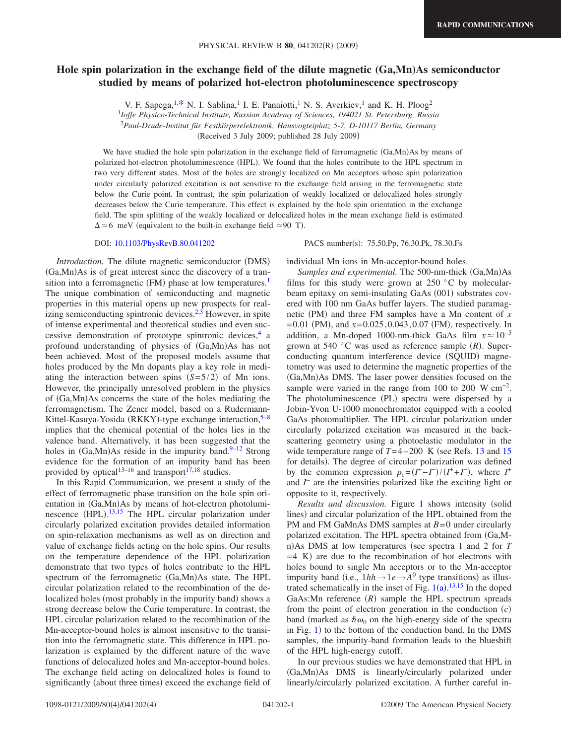## **Hole spin polarization in the exchange field of the dilute magnetic (Ga,Mn)As semiconductor studied by means of polarized hot-electron photoluminescence spectroscopy**

V. F. Sapega,  $1, * N$ . I. Sablina,<sup>1</sup> I. E. Panaiotti,<sup>1</sup> N. S. Averkiev,<sup>1</sup> and K. H. Ploog<sup>2</sup>

<sup>1</sup>*Ioffe Physico-Technical Institute, Russian Academy of Sciences, 194021 St. Petersburg, Russia*

<sup>2</sup>*Paul-Drude-Institut für Festkörperelektronik, Hausvogteiplatz 5-7, D-10117 Berlin, Germany*

(Received 3 July 2009; published 28 July 2009)

We have studied the hole spin polarization in the exchange field of ferromagnetic (Ga,Mn)As by means of polarized hot-electron photoluminescence (HPL). We found that the holes contribute to the HPL spectrum in two very different states. Most of the holes are strongly localized on Mn acceptors whose spin polarization under circularly polarized excitation is not sensitive to the exchange field arising in the ferromagnetic state below the Curie point. In contrast, the spin polarization of weakly localized or delocalized holes strongly decreases below the Curie temperature. This effect is explained by the hole spin orientation in the exchange field. The spin splitting of the weakly localized or delocalized holes in the mean exchange field is estimated  $\Delta \approx 6$  meV (equivalent to the built-in exchange field  $\approx 90$  T).

DOI: [10.1103/PhysRevB.80.041202](http://dx.doi.org/10.1103/PhysRevB.80.041202)

*Introduction*. The dilute magnetic semiconductor (DMS) (Ga,Mn)As is of great interest since the discovery of a transition into a ferromagnetic (FM) phase at low temperatures.<sup>1</sup> The unique combination of semiconducting and magnetic properties in this material opens up new prospects for realizing semiconducting spintronic devices. $2,3$  $2,3$  However, in spite of intense experimental and theoretical studies and even successive demonstration of prototype spintronic devices, $4$  a profound understanding of physics of (Ga,Mn)As has not been achieved. Most of the proposed models assume that holes produced by the Mn dopants play a key role in mediating the interaction between spins  $(S=5/2)$  of Mn ions. However, the principally unresolved problem in the physics of (Ga,Mn)As concerns the state of the holes mediating the ferromagnetism. The Zener model, based on a Rudermann-Kittel-Kasuya-Yosida (RKKY)-type exchange interaction,<sup>5-[8](#page-3-6)</sup> implies that the chemical potential of the holes lies in the valence band. Alternatively, it has been suggested that the holes in  $(Ga, Mn)$ As reside in the impurity band.<sup>9–[12](#page-3-8)</sup> Strong evidence for the formation of an impurity band has been provided by optical<sup>13–[16](#page-3-10)</sup> and transport<sup>17[,18](#page-3-12)</sup> studies.

In this Rapid Communication, we present a study of the effect of ferromagnetic phase transition on the hole spin orientation in (Ga,Mn)As by means of hot-electron photolumi-nescence (HPL).<sup>[13](#page-3-9)[,15](#page-3-13)</sup> The HPL circular polarization under circularly polarized excitation provides detailed information on spin-relaxation mechanisms as well as on direction and value of exchange fields acting on the hole spins. Our results on the temperature dependence of the HPL polarization demonstrate that two types of holes contribute to the HPL spectrum of the ferromagnetic (Ga,Mn)As state. The HPL circular polarization related to the recombination of the delocalized holes (most probably in the impurity band) shows a strong decrease below the Curie temperature. In contrast, the HPL circular polarization related to the recombination of the Mn-acceptor-bound holes is almost insensitive to the transition into the ferromagnetic state. This difference in HPL polarization is explained by the different nature of the wave functions of delocalized holes and Mn-acceptor-bound holes. The exchange field acting on delocalized holes is found to significantly (about three times) exceed the exchange field of

PACS number(s): 75.50.Pp, 76.30.Pk, 78.30.Fs

individual Mn ions in Mn-acceptor-bound holes.

Samples and experimental. The 500-nm-thick (Ga,Mn)As films for this study were grown at  $250\degree C$  by molecularbeam epitaxy on semi-insulating GaAs (001) substrates covered with 100 nm GaAs buffer layers. The studied paramagnetic (PM) and three FM samples have a Mn content of x  $= 0.01$  (PM), and  $x = 0.025, 0.043, 0.07$  (FM), respectively. In addition, a Mn-doped 1000-nm-thick GaAs film  $x \approx 10^{-5}$ grown at 540 °C was used as reference sample (R). Superconducting quantum interference device (SQUID) magnetometry was used to determine the magnetic properties of the (Ga,Mn)As DMS. The laser power densities focused on the sample were varied in the range from 100 to 200 W  $cm^{-2}$ . The photoluminescence (PL) spectra were dispersed by a Jobin-Yvon U-1000 monochromator equipped with a cooled GaAs photomultiplier. The HPL circular polarization under circularly polarized excitation was measured in the backscattering geometry using a photoelastic modulator in the wide temperature range of  $T = 4 - 200$  K (see Refs. [13](#page-3-9) and [15](#page-3-13) for details). The degree of circular polarization was defined by the common expression  $\rho_c = (I^+ - I^-)/(I^+ + I^-)$ , where  $I^+$ and *I* <sup>−</sup> are the intensities polarized like the exciting light or opposite to it, respectively.

Results and discussion. Figure [1](#page-1-0) shows intensity (solid lines) and circular polarization of the HPL obtained from the PM and FM GaMnAs DMS samples at *B* = 0 under circularly polarized excitation. The HPL spectra obtained from Ga,Mn) As DMS at low temperatures (see spectra 1 and 2 for *T* =4 K) are due to the recombination of hot electrons with holes bound to single Mn acceptors or to the Mn-acceptor impurity band (i.e.,  $1hh \rightarrow 1e \rightarrow A^0$  type transitions) as illustrated schematically in the inset of Fig.  $1(a)$  $1(a)$ .<sup>[13,](#page-3-9)[15](#page-3-13)</sup> In the doped GaAs: Mn reference  $(R)$  sample the HPL spectrum spreads from the point of electron generation in the conduction  $(c)$ band (marked as  $\hbar \omega_0$  on the high-energy side of the spectra in Fig. [1](#page-1-0)) to the bottom of the conduction band. In the DMS samples, the impurity-band formation leads to the blueshift of the HPL high-energy cutoff.

In our previous studies we have demonstrated that HPL in (Ga,Mn)As DMS is linearly/circularly polarized under linearly/circularly polarized excitation. A further careful in-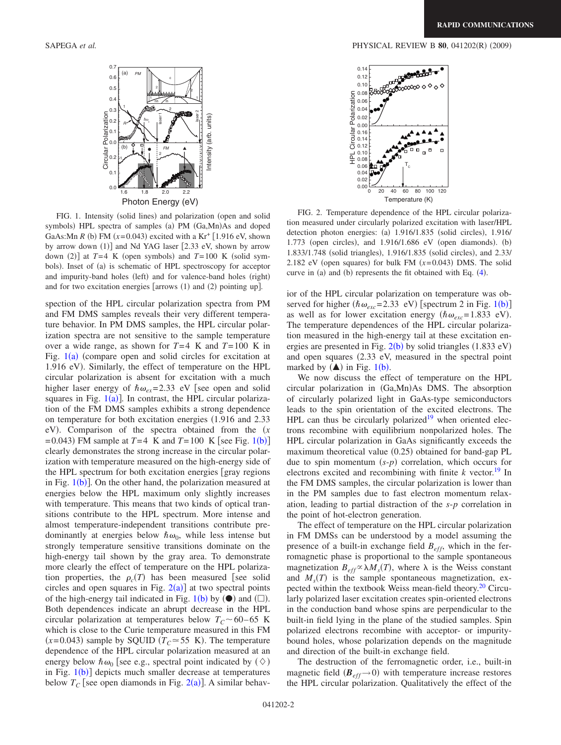<span id="page-1-0"></span>

FIG. 1. Intensity (solid lines) and polarization (open and solid symbols) HPL spectra of samples (a) PM (Ga,Mn)As and doped GaAs: Mn *R* (b) FM  $(x=0.043)$  excited with a Kr<sup>+</sup> [1.916 eV, shown by arrow down (1)] and Nd YAG laser [2.33 eV, shown by arrow down (2)] at  $T=4$  K (open symbols) and  $T=100$  K (solid symbols). Inset of (a) is schematic of HPL spectroscopy for acceptor and impurity-band holes (left) and for valence-band holes (right) and for two excitation energies [arrows  $(1)$  and  $(2)$  pointing up].

spection of the HPL circular polarization spectra from PM and FM DMS samples reveals their very different temperature behavior. In PM DMS samples, the HPL circular polarization spectra are not sensitive to the sample temperature over a wide range, as shown for  $T=4$  K and  $T=100$  K in Fig.  $1(a)$  $1(a)$  (compare open and solid circles for excitation at 1.916 eV). Similarly, the effect of temperature on the HPL circular polarization is absent for excitation with a much higher laser energy of  $\hbar \omega_{ex} = 2.33$  eV [see open and solid squares in Fig.  $1(a)$  $1(a)$ ]. In contrast, the HPL circular polarization of the FM DMS samples exhibits a strong dependence on temperature for both excitation energies  $(1.916$  and  $2.33$ eV). Comparison of the spectra obtained from the  $(x)$  $= 0.043$ ) FM sample at *T*=4 K and *T*= [1](#page-1-0)00 K [see Fig. 1(b)] clearly demonstrates the strong increase in the circular polarization with temperature measured on the high-energy side of the HPL spectrum for both excitation energies  $\lceil \text{gray regions} \rceil$ in Fig.  $1(b)$  $1(b)$ ]. On the other hand, the polarization measured at energies below the HPL maximum only slightly increases with temperature. This means that two kinds of optical transitions contribute to the HPL spectrum. More intense and almost temperature-independent transitions contribute predominantly at energies below  $\hbar \omega_0$ , while less intense but strongly temperature sensitive transitions dominate on the high-energy tail shown by the gray area. To demonstrate more clearly the effect of temperature on the HPL polarization properties, the  $\rho_c(T)$  has been measured [see solid circles and open squares in Fig.  $2(a)$  $2(a)$ ] at two spectral points of the high-energy tail indicated in Fig.  $1(b)$  $1(b)$  by  $\left(\bullet\right)$  and  $\left(\Box\right)$ . Both dependences indicate an abrupt decrease in the HPL circular polarization at temperatures below  $T_c \sim 60 - 65$  K which is close to the Curie temperature measured in this FM  $(x=0.043)$  sample by SQUID  $(T<sub>C</sub> \approx 55 K)$ . The temperature dependence of the HPL circular polarization measured at an energy below  $\hbar \omega_0$  [see e.g., spectral point indicated by  $(\Diamond)$ in Fig. [1](#page-1-0)(b)] depicts much smaller decrease at temperatures below  $T_C$  [see open diamonds in Fig. [2](#page-1-1)(a)]. A similar behav-

<span id="page-1-1"></span>

FIG. 2. Temperature dependence of the HPL circular polarization measured under circularly polarized excitation with laser/HPL detection photon energies: (a) 1.916/1.835 (solid circles), 1.916/ 1.773 (open circles), and 1.916/1.686 eV (open diamonds). (b) 1.833/1.748 (solid triangles), 1.916/1.835 (solid circles), and 2.33/ 2.182 eV (open squares) for bulk FM  $(x=0.043)$  DMS. The solid curve in  $(a)$  and  $(b)$  represents the fit obtained with Eq.  $(4)$  $(4)$  $(4)$ .

ior of the HPL circular polarization on temperature was observed for higher  $(\hbar \omega_{exc} = 2.33 \text{ eV})$  [spectrum 2 in Fig. [1](#page-1-0)(b)] as well as for lower excitation energy  $(\hbar \omega_{exc} = 1.833 \text{ eV})$ . The temperature dependences of the HPL circular polarization measured in the high-energy tail at these excitation energies are presented in Fig.  $2(b)$  $2(b)$  by solid triangles  $(1.833 \text{ eV})$ and open squares (2.33 eV, measured in the spectral point marked by  $(**A**)$  in Fig. [1](#page-1-0)(b).

We now discuss the effect of temperature on the HPL circular polarization in (Ga,Mn)As DMS. The absorption of circularly polarized light in GaAs-type semiconductors leads to the spin orientation of the excited electrons. The HPL can thus be circularly polarized<sup>19</sup> when oriented electrons recombine with equilibrium nonpolarized holes. The HPL circular polarization in GaAs significantly exceeds the maximum theoretical value (0.25) obtained for band-gap PL due to spin momentum  $(s-p)$  correlation, which occurs for electrons excited and recombining with finite  $k$  vector.<sup>19</sup> In the FM DMS samples, the circular polarization is lower than in the PM samples due to fast electron momentum relaxation, leading to partial distraction of the *s*-*p* correlation in the point of hot-electron generation.

The effect of temperature on the HPL circular polarization in FM DMSs can be understood by a model assuming the presence of a built-in exchange field *Beff*, which in the ferromagnetic phase is proportional to the sample spontaneous magnetization  $B_{eff} \propto \lambda M_s(T)$ , where  $\lambda$  is the Weiss constant and  $M_s(T)$  is the sample spontaneous magnetization, expected within the textbook Weiss mean-field theory.<sup>20</sup> Circularly polarized laser excitation creates spin-oriented electrons in the conduction band whose spins are perpendicular to the built-in field lying in the plane of the studied samples. Spin polarized electrons recombine with acceptor- or impuritybound holes, whose polarization depends on the magnitude and direction of the built-in exchange field.

The destruction of the ferromagnetic order, i.e., built-in magnetic field  $(B_{eff} \rightarrow 0)$  with temperature increase restores the HPL circular polarization. Qualitatively the effect of the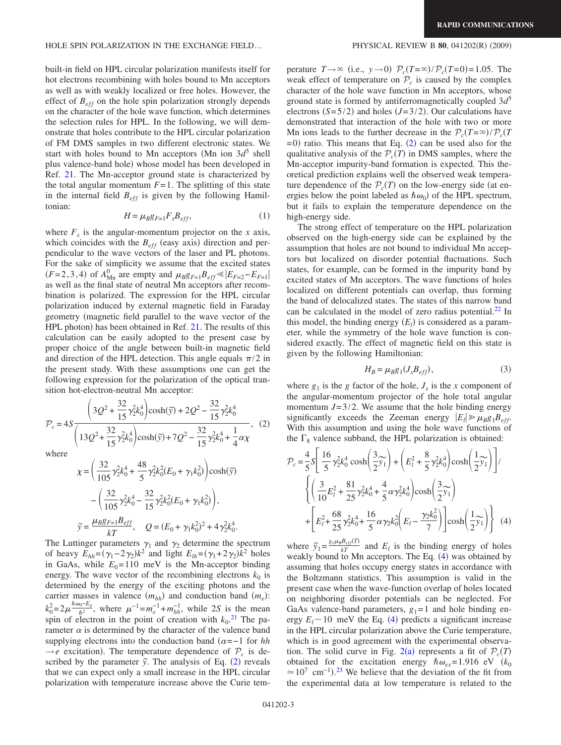built-in field on HPL circular polarization manifests itself for hot electrons recombining with holes bound to Mn acceptors as well as with weakly localized or free holes. However, the effect of  $B_{eff}$  on the hole spin polarization strongly depends on the character of the hole wave function, which determines the selection rules for HPL. In the following, we will demonstrate that holes contribute to the HPL circular polarization of FM DMS samples in two different electronic states. We start with holes bound to Mn acceptors (Mn ion  $3d^5$  shell plus valence-band hole) whose model has been developed in Ref. [21.](#page-3-16) The Mn-acceptor ground state is characterized by the total angular momentum  $F=1$ . The splitting of this state in the internal field  $B_{eff}$  is given by the following Hamiltonian:

$$
H = \mu_B g_{F=1} F_x B_{eff}, \tag{1}
$$

where  $F_x$  is the angular-momentum projector on the *x* axis, which coincides with the  $B_{eff}$  (easy axis) direction and perpendicular to the wave vectors of the laser and PL photons. For the sake of simplicity we assume that the excited states  $(F=2,3,4)$  of  $A_{\text{Mn}}^0$  are empty and  $\mu_B g_{F=1} B_{eff} \le |E_{F=2} - E_{F=1}|$ as well as the final state of neutral Mn acceptors after recombination is polarized. The expression for the HPL circular polarization induced by external magnetic field in Faraday geometry magnetic field parallel to the wave vector of the HPL photon) has been obtained in Ref. [21.](#page-3-16) The results of this calculation can be easily adopted to the present case by proper choice of the angle between built-in magnetic field and direction of the HPL detection. This angle equals  $\pi/2$  in the present study. With these assumptions one can get the following expression for the polarization of the optical transition hot-electron-neutral Mn acceptor:

<span id="page-2-1"></span>
$$
\mathcal{P}_c = 4S \frac{\left(3Q^2 + \frac{32}{15}\gamma_2^2 k_0^4\right) \cosh(\tilde{y}) + 2Q^2 - \frac{32}{15}\gamma_2^2 k_0^4}{\left(13Q^2 + \frac{32}{15}\gamma_2^2 k_0^4\right) \cosh(\tilde{y}) + 7Q^2 - \frac{32}{15}\gamma_2^2 k_0^4 + \frac{1}{4}\alpha\chi}, \quad (2)
$$

where

$$
\chi = \left(\frac{32}{105}\gamma_2^2 k_0^4 + \frac{48}{5}\gamma_2^2 k_0^2 (E_0 + \gamma_1 k_0^2)\right) \cosh(\tilde{y})
$$

$$
- \left(\frac{32}{105}\gamma_2^2 k_0^4 - \frac{32}{15}\gamma_2^2 k_0^2 (E_0 + \gamma_1 k_0^2)\right),
$$

$$
\tilde{y} = \frac{\mu_B g_{F=1} B_{eff}}{kT}, \quad Q = (E_0 + \gamma_1 k_0^2)^2 + 4\gamma_2^2 k_0^4.
$$

The Luttinger parameters  $\gamma_1$  and  $\gamma_2$  determine the spectrum of heavy  $E_{hh} = (\gamma_1 - 2\gamma_2)k^2$  and light  $E_{lh} = (\gamma_1 + 2\gamma_2)k^2$  holes in GaAs, while  $E_0 = 110$  meV is the Mn-acceptor binding energy. The wave vector of the recombining electrons  $k_0$  is determined by the energy of the exciting photons and the carrier masses in valence  $(m_{hh})$  and conduction band  $(m_e)$ :  $k_0^2 = 2\mu \frac{\hbar \omega_0 - E_g}{\hbar^2}$ , where  $\mu^{-1} = m_e^{-1} + m_{hh}^{-1}$ , while 2*S* is the mean spin of electron in the point of creation with  $k_0$ .<sup>[21](#page-3-16)</sup> The parameter  $\alpha$  is determined by the character of the valence band supplying electrons into the conduction band  $(\alpha = -1)$  for *hh*  $\rightarrow e$  excitation). The temperature dependence of  $\mathcal{P}_c$  is described by the parameter  $\tilde{y}$ . The analysis of Eq. ([2](#page-2-1)) reveals that we can expect only a small increase in the HPL circular polarization with temperature increase above the Curie tem-

## $(2009)$

perature  $T \rightarrow \infty$  (i.e.,  $y \rightarrow 0$ )  $\mathcal{P}_c(T=\infty)/\mathcal{P}_c(T=0) = 1.05$ . The weak effect of temperature on  $P_c$  is caused by the complex character of the hole wave function in Mn acceptors, whose ground state is formed by antiferromagnetically coupled 3*d*<sup>5</sup> electrons  $(S=5/2)$  and holes  $(J=3/2)$ . Our calculations have demonstrated that interaction of the hole with two or more Mn ions leads to the further decrease in the  $P_c(T = \infty) / P_c(T)$  $= 0$ ) ratio. This means that Eq. ([2](#page-2-1)) can be used also for the qualitative analysis of the  $P_c(T)$  in DMS samples, where the Mn-acceptor impurity-band formation is expected. This theoretical prediction explains well the observed weak temperature dependence of the  $P_c(T)$  on the low-energy side (at energies below the point labeled as  $\hbar \omega_0$  of the HPL spectrum, but it fails to explain the temperature dependence on the high-energy side.

The strong effect of temperature on the HPL polarization observed on the high-energy side can be explained by the assumption that holes are not bound to individual Mn acceptors but localized on disorder potential fluctuations. Such states, for example, can be formed in the impurity band by excited states of Mn acceptors. The wave functions of holes localized on different potentials can overlap, thus forming the band of delocalized states. The states of this narrow band can be calculated in the model of zero radius potential. $^{22}$  In this model, the binding energy  $(E_l)$  is considered as a parameter, while the symmetry of the hole wave function is considered exactly. The effect of magnetic field on this state is given by the following Hamiltonian:

$$
H_B = \mu_B g_1(J_x B_{eff}),\tag{3}
$$

where  $g_1$  is the *g* factor of the hole,  $J_x$  is the *x* component of the angular-momentum projector of the hole total angular momentum  $J = 3/2$ . We assume that the hole binding energy significantly exceeds the Zeeman energy  $|E_1| \ge \mu_B g_1 B_{eff}$ . With this assumption and using the hole wave functions of the  $\Gamma_8$  valence subband, the HPL polarization is obtained:

<span id="page-2-0"></span>
$$
\mathcal{P}_{c} = \frac{4}{5}S \left[ \frac{16}{5} \gamma_{2}^{2} k_{0}^{4} \cosh \left( \frac{3}{2} \widetilde{y}_{1} \right) + \left( E_{l}^{2} + \frac{8}{5} \gamma_{2}^{2} k_{0}^{4} \right) \cosh \left( \frac{1}{2} \widetilde{y}_{1} \right) \right] / \n\left\{ \left( \frac{3}{10} E_{l}^{2} + \frac{81}{25} \gamma_{2}^{2} k_{0}^{4} + \frac{4}{5} \alpha \gamma_{2}^{2} k_{0}^{4} \right) \cosh \left( \frac{3}{2} \widetilde{y}_{1} \right) \right. \n\left. + \left[ E_{l}^{2} + \frac{68}{25} \gamma_{2}^{2} k_{0}^{4} + \frac{16}{5} \alpha \gamma_{2} k_{0}^{2} \left( E_{l} - \frac{\gamma_{2} k_{0}^{2}}{7} \right) \right] \cosh \left( \frac{1}{2} \widetilde{y}_{1} \right) \right\} (4)
$$

where  $\tilde{y}_1 = \frac{g_1 \mu_B B_{eff}(T)}{kT}$  and  $E_l$  is the binding energy of holes weakly bound to Mn acceptors. The Eq. ([4](#page-2-0)) was obtained by assuming that holes occupy energy states in accordance with the Boltzmann statistics. This assumption is valid in the present case when the wave-function overlap of holes located on neighboring disorder potentials can be neglected. For GaAs valence-band parameters,  $g_1 = 1$  and hole binding energy  $E_l \sim 10$  meV the Eq. ([4](#page-2-0)) predicts a significant increase in the HPL circular polarization above the Curie temperature, which is in good agreement with the experimental observa-tion. The solid curve in Fig. [2](#page-1-1)(a) represents a fit of  $\mathcal{P}_c(T)$ obtained for the excitation energy  $\hbar \omega_{ex} = 1.916 \text{ eV}$  ( $k_0$  $\approx 10^7$  cm<sup>-1</sup>).<sup>[23](#page-3-18)</sup> We believe that the deviation of the fit from the experimental data at low temperature is related to the